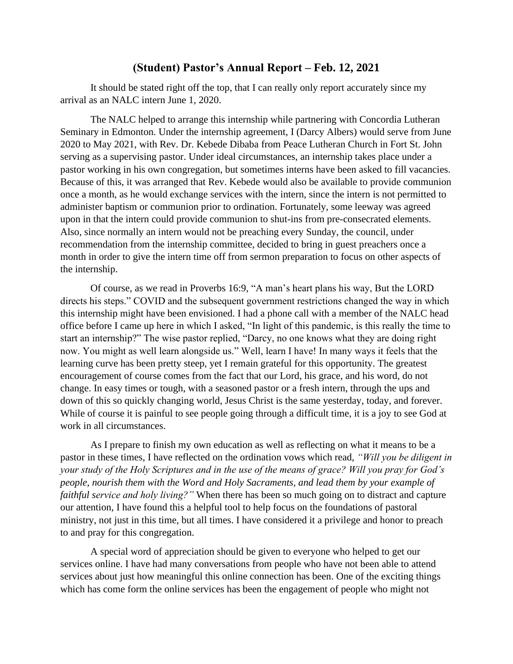## **(Student) Pastor's Annual Report – Feb. 12, 2021**

It should be stated right off the top, that I can really only report accurately since my arrival as an NALC intern June 1, 2020.

The NALC helped to arrange this internship while partnering with Concordia Lutheran Seminary in Edmonton. Under the internship agreement, I (Darcy Albers) would serve from June 2020 to May 2021, with Rev. Dr. Kebede Dibaba from Peace Lutheran Church in Fort St. John serving as a supervising pastor. Under ideal circumstances, an internship takes place under a pastor working in his own congregation, but sometimes interns have been asked to fill vacancies. Because of this, it was arranged that Rev. Kebede would also be available to provide communion once a month, as he would exchange services with the intern, since the intern is not permitted to administer baptism or communion prior to ordination. Fortunately, some leeway was agreed upon in that the intern could provide communion to shut-ins from pre-consecrated elements. Also, since normally an intern would not be preaching every Sunday, the council, under recommendation from the internship committee, decided to bring in guest preachers once a month in order to give the intern time off from sermon preparation to focus on other aspects of the internship.

Of course, as we read in Proverbs 16:9, "A man's heart plans his way, But the LORD directs his steps." COVID and the subsequent government restrictions changed the way in which this internship might have been envisioned. I had a phone call with a member of the NALC head office before I came up here in which I asked, "In light of this pandemic, is this really the time to start an internship?" The wise pastor replied, "Darcy, no one knows what they are doing right now. You might as well learn alongside us." Well, learn I have! In many ways it feels that the learning curve has been pretty steep, yet I remain grateful for this opportunity. The greatest encouragement of course comes from the fact that our Lord, his grace, and his word, do not change. In easy times or tough, with a seasoned pastor or a fresh intern, through the ups and down of this so quickly changing world, Jesus Christ is the same yesterday, today, and forever. While of course it is painful to see people going through a difficult time, it is a joy to see God at work in all circumstances.

As I prepare to finish my own education as well as reflecting on what it means to be a pastor in these times, I have reflected on the ordination vows which read, *"Will you be diligent in your study of the Holy Scriptures and in the use of the means of grace? Will you pray for God's people, nourish them with the Word and Holy Sacraments, and lead them by your example of faithful service and holy living?"* When there has been so much going on to distract and capture our attention, I have found this a helpful tool to help focus on the foundations of pastoral ministry, not just in this time, but all times. I have considered it a privilege and honor to preach to and pray for this congregation.

A special word of appreciation should be given to everyone who helped to get our services online. I have had many conversations from people who have not been able to attend services about just how meaningful this online connection has been. One of the exciting things which has come form the online services has been the engagement of people who might not